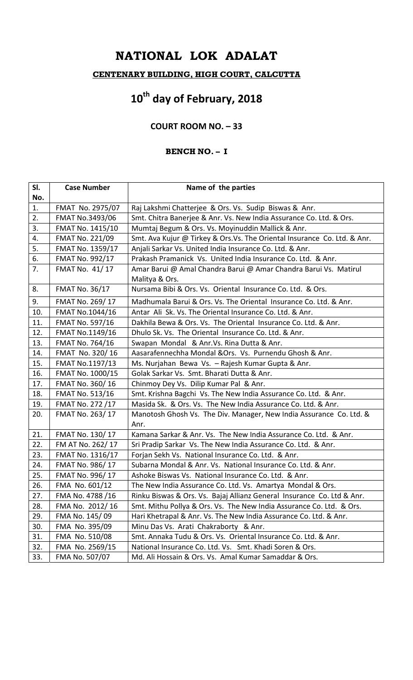## **NATIONAL LOK ADALAT CENTENARY BUILDING, HIGH COURT, CALCUTTA**

## **10th day of February, 2018**

### **COURT ROOM NO. – 33**

### **BENCH NO. – I**

| SI. | <b>Case Number</b>     | Name of the parties                                                                |
|-----|------------------------|------------------------------------------------------------------------------------|
| No. |                        |                                                                                    |
| 1.  | FMAT No. 2975/07       | Raj Lakshmi Chatterjee & Ors. Vs. Sudip Biswas & Anr.                              |
| 2.  | FMAT No.3493/06        | Smt. Chitra Banerjee & Anr. Vs. New India Assurance Co. Ltd. & Ors.                |
| 3.  | FMAT No. 1415/10       | Mumtaj Begum & Ors. Vs. Moyinuddin Mallick & Anr.                                  |
| 4.  | FMAT No. 221/09        | Smt. Ava Kujur @ Tirkey & Ors.Vs. The Oriental Insurance Co. Ltd. & Anr.           |
| 5.  | FMAT No. 1359/17       | Anjali Sarkar Vs. United India Insurance Co. Ltd. & Anr.                           |
| 6.  | FMAT No. 992/17        | Prakash Pramanick Vs. United India Insurance Co. Ltd. & Anr.                       |
| 7.  | FMAT No. 41/17         | Amar Barui @ Amal Chandra Barui @ Amar Chandra Barui Vs. Matirul<br>Malitya & Ors. |
| 8.  | <b>FMAT No. 36/17</b>  | Nursama Bibi & Ors. Vs. Oriental Insurance Co. Ltd. & Ors.                         |
| 9.  | FMAT No. 269/17        | Madhumala Barui & Ors. Vs. The Oriental Insurance Co. Ltd. & Anr.                  |
| 10. | FMAT No.1044/16        | Antar Ali Sk. Vs. The Oriental Insurance Co. Ltd. & Anr.                           |
| 11. | FMAT No. 597/16        | Dakhila Bewa & Ors. Vs. The Oriental Insurance Co. Ltd. & Anr.                     |
| 12. | FMAT No.1149/16        | Dhulo Sk. Vs. The Oriental Insurance Co. Ltd. & Anr.                               |
| 13. | <b>FMAT No. 764/16</b> | Swapan Mondal & Anr.Vs. Rina Dutta & Anr.                                          |
| 14. | FMAT No. 320/16        | Aasarafennechha Mondal & Ors. Vs. Purnendu Ghosh & Anr.                            |
| 15. | FMAT No.1197/13        | Ms. Nurjahan Bewa Vs. - Rajesh Kumar Gupta & Anr.                                  |
| 16. | FMAT No. 1000/15       | Golak Sarkar Vs. Smt. Bharati Dutta & Anr.                                         |
| 17. | FMAT No. 360/16        | Chinmoy Dey Vs. Dilip Kumar Pal & Anr.                                             |
| 18. | FMAT No. 513/16        | Smt. Krishna Bagchi Vs. The New India Assurance Co. Ltd. & Anr.                    |
| 19. | FMAT No. 272 /17       | Masida Sk. & Ors. Vs. The New India Assurance Co. Ltd. & Anr.                      |
| 20. | FMAT No. 263/17        | Manotosh Ghosh Vs. The Div. Manager, New India Assurance Co. Ltd. &<br>Anr.        |
| 21. | FMAT No. 130/17        | Kamana Sarkar & Anr. Vs. The New India Assurance Co. Ltd. & Anr.                   |
| 22. | FM AT No. 262/17       | Sri Pradip Sarkar Vs. The New India Assurance Co. Ltd. & Anr.                      |
| 23. | FMAT No. 1316/17       | Forjan Sekh Vs. National Insurance Co. Ltd. & Anr.                                 |
| 24. | FMAT No. 986/17        | Subarna Mondal & Anr. Vs. National Insurance Co. Ltd. & Anr.                       |
| 25. | FMAT No. 996/17        | Ashoke Biswas Vs. National Insurance Co. Ltd. & Anr.                               |
| 26. | FMA No. 601/12         | The New India Assurance Co. Ltd. Vs. Amartya Mondal & Ors.                         |
| 27. | FMA No. 4788 /16       | Rinku Biswas & Ors. Vs. Bajaj Allianz General Insurance Co. Ltd & Anr.             |
| 28. | FMA No. 2012/16        | Smt. Mithu Pollya & Ors. Vs. The New India Assurance Co. Ltd. & Ors.               |
| 29. | FMA No. 145/09         | Hari Khetrapal & Anr. Vs. The New India Assurance Co. Ltd. & Anr.                  |
| 30. | FMA No. 395/09         | Minu Das Vs. Arati Chakraborty & Anr.                                              |
| 31. | FMA No. 510/08         | Smt. Annaka Tudu & Ors. Vs. Oriental Insurance Co. Ltd. & Anr.                     |
| 32. | FMA No. 2569/15        | National Insurance Co. Ltd. Vs. Smt. Khadi Soren & Ors.                            |
| 33. | FMA No. 507/07         | Md. Ali Hossain & Ors. Vs. Amal Kumar Samaddar & Ors.                              |